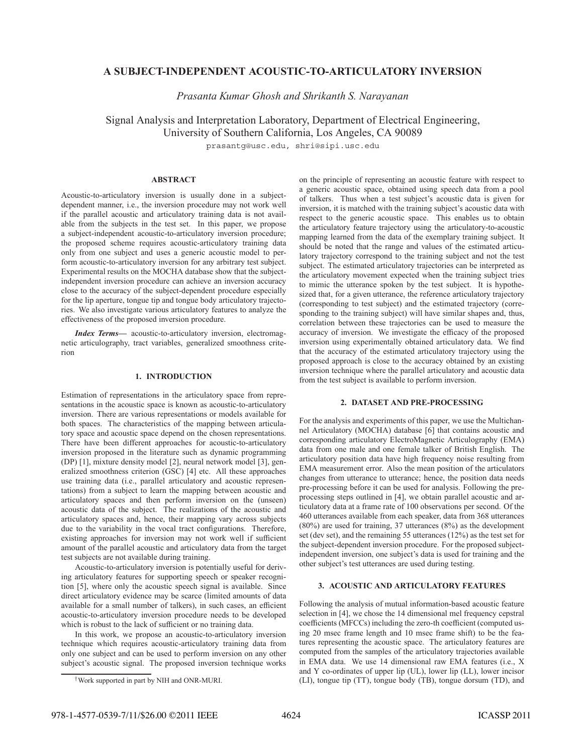# **A SUBJECT-INDEPENDENT ACOUSTIC-TO-ARTICULATORY INVERSION**

*Prasanta Kumar Ghosh and Shrikanth S. Narayanan*

Signal Analysis and Interpretation Laboratory, Department of Electrical Engineering, University of Southern California, Los Angeles, CA 90089

prasantg@usc.edu, shri@sipi.usc.edu

## **ABSTRACT**

Acoustic-to-articulatory inversion is usually done in a subjectdependent manner, i.e., the inversion procedure may not work well if the parallel acoustic and articulatory training data is not available from the subjects in the test set. In this paper, we propose a subject-independent acoustic-to-articulatory inversion procedure; the proposed scheme requires acoustic-articulatory training data only from one subject and uses a generic acoustic model to perform acoustic-to-articulatory inversion for any arbitrary test subject. Experimental results on the MOCHA database show that the subjectindependent inversion procedure can achieve an inversion accuracy close to the accuracy of the subject-dependent procedure especially for the lip aperture, tongue tip and tongue body articulatory trajectories. We also investigate various articulatory features to analyze the effectiveness of the proposed inversion procedure.

*Index Terms***—** acoustic-to-articulatory inversion, electromagnetic articulography, tract variables, generalized smoothness criterion

## **1. INTRODUCTION**

Estimation of representations in the articulatory space from representations in the acoustic space is known as acoustic-to-articulatory inversion. There are various representations or models available for both spaces. The characteristics of the mapping between articulatory space and acoustic space depend on the chosen representations. There have been different approaches for acoustic-to-articulatory inversion proposed in the literature such as dynamic programming (DP) [1], mixture density model [2], neural network model [3], generalized smoothness criterion (GSC) [4] etc. All these approaches use training data (i.e., parallel articulatory and acoustic representations) from a subject to learn the mapping between acoustic and articulatory spaces and then perform inversion on the (unseen) acoustic data of the subject. The realizations of the acoustic and articulatory spaces and, hence, their mapping vary across subjects due to the variability in the vocal tract configurations. Therefore, existing approaches for inversion may not work well if sufficient amount of the parallel acoustic and articulatory data from the target test subjects are not available during training.

Acoustic-to-articulatory inversion is potentially useful for deriving articulatory features for supporting speech or speaker recognition [5], where only the acoustic speech signal is available. Since direct articulatory evidence may be scarce (limited amounts of data available for a small number of talkers), in such cases, an efficient acoustic-to-articulatory inversion procedure needs to be developed which is robust to the lack of sufficient or no training data.

In this work, we propose an acoustic-to-articulatory inversion technique which requires acoustic-articulatory training data from only one subject and can be used to perform inversion on any other subject's acoustic signal. The proposed inversion technique works

on the principle of representing an acoustic feature with respect to a generic acoustic space, obtained using speech data from a pool of talkers. Thus when a test subject's acoustic data is given for inversion, it is matched with the training subject's acoustic data with respect to the generic acoustic space. This enables us to obtain the articulatory feature trajectory using the articulatory-to-acoustic mapping learned from the data of the exemplary training subject. It should be noted that the range and values of the estimated articulatory trajectory correspond to the training subject and not the test subject. The estimated articulatory trajectories can be interpreted as the articulatory movement expected when the training subject tries to mimic the utterance spoken by the test subject. It is hypothesized that, for a given utterance, the reference articulatory trajectory (corresponding to test subject) and the estimated trajectory (corresponding to the training subject) will have similar shapes and, thus, correlation between these trajectories can be used to measure the accuracy of inversion. We investigate the efficacy of the proposed inversion using experimentally obtained articulatory data. We find that the accuracy of the estimated articulatory trajectory using the proposed approach is close to the accuracy obtained by an existing inversion technique where the parallel articulatory and acoustic data from the test subject is available to perform inversion.

## **2. DATASET AND PRE-PROCESSING**

For the analysis and experiments of this paper, we use the Multichannel Articulatory (MOCHA) database [6] that contains acoustic and corresponding articulatory ElectroMagnetic Articulography (EMA) data from one male and one female talker of British English. The articulatory position data have high frequency noise resulting from EMA measurement error. Also the mean position of the articulators changes from utterance to utterance; hence, the position data needs pre-processing before it can be used for analysis. Following the preprocessing steps outlined in [4], we obtain parallel acoustic and articulatory data at a frame rate of 100 observations per second. Of the 460 utterances available from each speaker, data from 368 utterances (80%) are used for training, 37 utterances (8%) as the development set (dev set), and the remaining 55 utterances (12%) as the test set for the subject-dependent inversion procedure. For the proposed subjectindependent inversion, one subject's data is used for training and the other subject's test utterances are used during testing.

## **3. ACOUSTIC AND ARTICULATORY FEATURES**

Following the analysis of mutual information-based acoustic feature selection in [4], we chose the 14 dimensional mel frequency cepstral coefficients (MFCCs) including the zero-th coefficient (computed using 20 msec frame length and 10 msec frame shift) to be the features representing the acoustic space. The articulatory features are computed from the samples of the articulatory trajectories available in EMA data. We use 14 dimensional raw EMA features (i.e., X and Y co-ordinates of upper lip (UL), lower lip (LL), lower incisor (LI), tongue tip (TT), tongue body (TB), tongue dorsum (TD), and

<sup>†</sup>Work supported in part by NIH and ONR-MURI.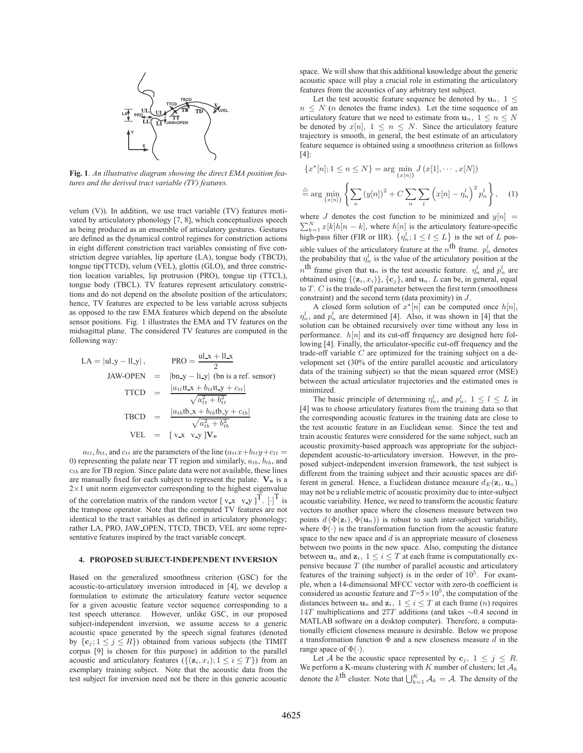

**Fig. 1**. *An illustrative diagram showing the direct EMA position features and the derived tract variable (TV) features.*

velum (V)). In addition, we use tract variable (TV) features motivated by articulatory phonology [7, 8], which conceptualizes speech as being produced as an ensemble of articulatory gestures. Gestures are defined as the dynamical control regimes for constriction actions in eight different constriction tract variables consisting of five constriction degree variables, lip aperture (LA), tongue body (TBCD), tongue tip(TTCD), velum (VEL), glottis (GLO), and three constriction location variables, lip protrusion (PRO), tongue tip (TTCL), tongue body (TBCL). TV features represent articulatory constrictions and do not depend on the absolute position of the articulators; hence, TV features are expected to be less variable across subjects as opposed to the raw EMA features which depend on the absolute sensor positions. Fig. 1 illustrates the EMA and TV features on the midsagittal plane. The considered TV features are computed in the following way:

$$
LA = |ul_y - ll_y|, \qquad \text{PRO} = \frac{ul_x + ll_x}{2}
$$
  
\n
$$
JAW-OPEN = |bn_y - ll_y| \text{ (bn is a ref. sensor)}
$$
  
\n
$$
TTCD = \frac{|a_{tt}ttx + b_{tt}tty + c_{tt}|}{\sqrt{a_{tt}^2 + b_{tt}^2}}
$$
  
\n
$$
TBCD = \frac{|a_{tb}tbx + b_{tb}tb_y + c_{tb}|}{\sqrt{a_{tb}^2 + b_{tb}^2}}
$$
  
\n
$$
VEL = [vx \; vy]Ve
$$

 $a_{tt}$ ,  $b_{tt}$ , and  $c_{tt}$  are the parameters of the line  $(a_{tt}x+b_{tt}y+c_{tt}$ 0) representing the palate near TT region and similarly,  $a_{tb}$ ,  $b_{tb}$ , and  $c_{tb}$  are for TB region. Since palate data were not available, these lines are manually fixed for each subject to represent the palate. **V<sup>e</sup>** is a  $2\times1$  unit norm eigenvector corresponding to the highest eigenvalue of the correlation matrix of the random vector  $[\mathbf{v} \cdot \mathbf{x} \quad \mathbf{v} \cdot \mathbf{y}]^T$ .  $[\cdot]^T$  is the transpose operator. Note that the computed TV features are not identical to the tract variables as defined in articulatory phonology; rather LA, PRO, JAW OPEN, TTCD, TBCD, VEL are some representative features inspired by the tract variable concept.

### **4. PROPOSED SUBJECT-INDEPENDENT INVERSION**

Based on the generalized smoothness criterion (GSC) for the acoustic-to-articulatory inversion introduced in [4], we develop a formulation to estimate the articulatory feature vector sequence for a given acoustic feature vector sequence corresponding to a test speech utterance. However, unlike GSC, in our proposed subject-independent inversion, we assume access to a generic acoustic space generated by the speech signal features (denoted by  $\{c_j; 1 \leq j \leq R\}$ ) obtained from various subjects (the TIMIT corpus [9] is chosen for this purpose) in addition to the parallel acoustic and articulatory features  $({\{(z_i, x_i); 1 \le i \le T\}})$  from an exemplary training subject. Note that the acoustic data from the test subject for inversion need not be there in this generic acoustic space. We will show that this additional knowledge about the generic acoustic space will play a crucial role in estimating the articulatory features from the acoustics of any arbitrary test subject.

Let the test acoustic feature sequence be denoted by  $\mathbf{u}_n, 1 \leq$  $n \leq N$  (*n* denotes the frame index). Let the time sequence of an articulatory feature that we need to estimate from  $\mathbf{u}_n, 1 \leq n \leq N$ be denoted by  $x[n], 1 \leq n \leq N$ . Since the articulatory feature trajectory is smooth, in general, the best estimate of an articulatory feature sequence is obtained using a smoothness criterion as follows [4]:

$$
\{x^*[n]; 1 \le n \le N\} = \arg\min_{\{x[n]\}} J(x[1], \cdots, x[N])
$$

$$
\stackrel{\triangle}{=} \arg\min_{\{x[n]\}} \left\{ \sum_n (y[n])^2 + C \sum_n \sum_l (x[n] - \eta_n^l)^2 p_n^l \right\}, \quad (1)
$$

where J denotes the cost function to be minimized and  $y[n] = \sum_{n=1}^{N} x[k]k[n]$  is the articulatory feature graphs  $\sum_{k=1}^{N} x[k]h[n-k]$ , where  $h[n]$  is the articulatory feature-specific<br>bigh note filter (EIP or IIP)  $\int x^l \cdot 1 \le l \le L$ ) is the set of L nos high-pass filter (FIR or IIR).  $\{\eta_n^l; 1 \le l \le L\}$  is the set of L possible values of the articulatory feature at the  $n^{\text{th}}$  frame.  $p_n^l$  denotes the probability that  $\eta_n^l$  is the value of the articulatory position at the  $n^{\text{th}}$  frame given that  $\mathbf{u}_n$  is the test acoustic feature.  $\eta_n^l$  and  $p_n^l$  are obtained using  $\{(\mathbf{z}_i, x_i)\}, \{\mathbf{c}_j\}$ , and  $\mathbf{u}_n$ . L can be, in general, equal to  $T$ .  $C$  is the trade-off parameter between the first term (smoothness constraint) and the second term (data proximity) in J.

A closed form solution of  $x^*[n]$  can be computed once  $h[n]$ ,<br>and  $n^l$  are determined [4]. Also, it was shown in [4] that the  $\eta_n^l$ , and  $p_n^l$  are determined [4]. Also, it was shown in [4] that the solution can be obtained recursively over time without any loss in performance.  $h[n]$  and its cut-off frequency are designed here following [4]. Finally, the articulator-specific cut-off frequency and the trade-off variable  $C$  are optimized for the training subject on a development set (30% of the entire parallel acoustic and articulatory data of the training subject) so that the mean squared error (MSE) between the actual articulator trajectories and the estimated ones is minimized.

The basic principle of determining  $\eta_n^l$ , and  $p_n^l$ ,  $1 \leq l \leq L$  in was to choose articulatory features from the training data so that [4] was to choose articulatory features from the training data so that the corresponding acoustic features in the training data are close to the test acoustic feature in an Euclidean sense. Since the test and train acoustic features were considered for the same subject, such an acoustic proximity-based approach was appropriate for the subjectdependent acoustic-to-articulatory inversion. However, in the proposed subject-independent inversion framework, the test subject is different from the training subject and their acoustic spaces are different in general. Hence, a Euclidean distance measure  $d_E(\mathbf{z}_i, \mathbf{u}_n)$ may not be a reliable metric of acoustic proximity due to inter-subject acoustic variability. Hence, we need to transform the acoustic feature vectors to another space where the closeness measure between two points  $d(\Phi(\mathbf{z}_i), \Phi(\mathbf{u}_n))$  is robust to such inter-subject variability, where  $\Phi(\cdot)$  is the transformation function from the acoustic feature space to the new space and  $d$  is an appropriate measure of closeness between two points in the new space. Also, computing the distance between  $\mathbf{u}_n$  and  $\mathbf{z}_i$ ,  $1 \leq i \leq T$  at each frame is computationally expensive because  $T$  (the number of parallel acoustic and articulatory features of the training subject) is in the order of  $10<sup>5</sup>$ . For example, when a 14-dimensional MFCC vector with zero-th coefficient is considered as acoustic feature and  $T=5\times10^5$ , the computation of the distances between  $\mathbf{u}_n$  and  $\mathbf{z}_i$ ,  $1 \leq i \leq T$  at each frame  $(n)$  requires 14<sup>T</sup> multiplications and 27<sup>T</sup> additions (and takes <sup>∼</sup>0.4 second in MATLAB software on a desktop computer). Therefore, a computationally efficient closeness measure is desirable. Below we propose a transformation function  $\Phi$  and a new closeness measure d in the range space of  $\Phi(\cdot)$ .

Let A be the acoustic space represented by  $\mathbf{c}_j$ ,  $1 \leq j \leq R$ . We perform a K-means clustering with  $K$  number of clusters; let  $\mathcal{A}_k$ denote the  $k^{\text{th}}$  cluster. Note that  $\bigcup_{k=1}^{K} A_k = A$ . The density of the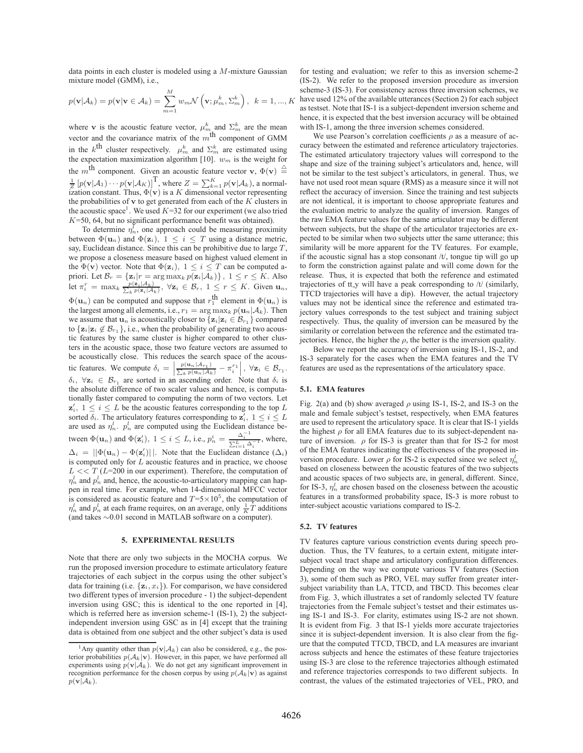data points in each cluster is modeled using a M-mixture Gaussian mixture model (GMM), i.e.,

$$
p(\mathbf{v}|\mathcal{A}_k) = p(\mathbf{v}|\mathbf{v} \in \mathcal{A}_k) = \sum_{m=1}^M w_m \mathcal{N}\left(\mathbf{v}; \mu_m^k, \Sigma_m^k\right), \ k = 1, ..., K
$$

where **v** is the acoustic feature vector,  $\mu_m^k$  and  $\Sigma_m^k$  are the mean vector and the covariance matrix of the  $m^{\text{th}}$  component of GMM in the k<sup>th</sup> cluster respectively.  $\mu_m^k$  and  $\Sigma_m^k$  are estimated using the expectation maximization algorithm  $[10]$   $\mu$  is the weight for the expectation maximization algorithm [10].  $w_m$  is the weight for the m<sup>th</sup> component. Given an acoustic feature vector **v**,  $\Phi(\mathbf{v}) \triangleq$  $\frac{1}{Z} [p(\mathbf{v} | \mathcal{A}_1) \cdots p(\mathbf{v} | \mathcal{A}_K)]^{\text{T}}$ , where  $Z = \sum_{k=1}^{K} p(\mathbf{v} | \mathcal{A}_k)$ , a normal-<br>ization constant. Thus  $\Phi(\mathbf{v})$  is a K dimensional vector representing ization constant. Thus,  $\Phi(\mathbf{v})$  is a K dimensional vector representing<br>the probabilities of **x** to get generated from each of the K clusters in the probabilities of  $\bf{v}$  to get generated from each of the  $K$  clusters in the acoustic space<sup>1</sup>. We used  $K=32$  for our experiment (we also tried  $K=50$ , 64, but no significant performance benefit was obtained).

To determine  $\eta_n^{\bar{l}}$ , one approach could be measuring proximity between  $\Phi(\mathbf{u}_n)$  and  $\Phi(\mathbf{z}_i)$ ,  $1 \leq i \leq T$  using a distance metric, say, Euclidean distance. Since this can be prohibitive due to large  $T$ , we propose a closeness measure based on highest valued element in the  $\Phi(\mathbf{v})$  vector. Note that  $\Phi(\mathbf{z}_i)$ ,  $1 \leq i \leq T$  can be computed apriori. Let  $\mathcal{B}_r = \{ \mathbf{z}_i | r = \arg \max_k p(\mathbf{z}_i | \mathcal{A}_k) \}, 1 \le r \le K$ . Also<br>let  $\pi_i^r = \max_k \frac{p(\mathbf{z}_i | \mathcal{A}_k)}{\sum_k p(\mathbf{z}_i | \mathcal{A}_k)}, \forall \mathbf{z}_i \in \mathcal{B}_r, 1 \le r \le K$ . Given  $\mathbf{u}_n$ ,  $\Phi(\mathbf{u}_n)$  can be computed and suppose that  $r_1^{\text{th}}$  element in  $\Phi(\mathbf{u}_n)$  is<br>the largest among all elements i.e.  $r_1 = \arg \max_i n(\mathbf{u} \mid A_i)$ . Then the largest among all elements, i.e.,  $r_1 = \arg \max_k p(\mathbf{u}_n | \mathcal{A}_k)$ . Then we assume that  $\mathbf{u}_n$  is acoustically closer to  $\{\mathbf{z}_i|\mathbf{z}_i \in \mathcal{B}_{r_1}\}\)$  compared to  $\{z_i|z_i \notin B_{r_1}\}\)$ , i.e., when the probability of generating two acoustic features by the same cluster is higher compared to other clusters in the acoustic space, those two feature vectors are assumed to be acoustically close. This reduces the search space of the acoustic features. We compute  $\delta_i = \left| \frac{p(\mathbf{u}_n | A_{r_1})}{\sum_k p(\mathbf{u}_n | A_k)} - \pi_i^{r_1} \right|, \forall \mathbf{z}_i \in \mathcal{B}_{r_1}$ .  $\delta_i$ ,  $\forall z_i \in \mathcal{B}_{r_1}$  are sorted in an ascending order. Note that  $\delta_i$  is the absolute difference of two scaler values and hence, is computationally faster compared to computing the norm of two vectors. Let  $\mathbf{z}'_i, 1 \leq i \leq L$  be the acoustic features corresponding to the top L<br>sorted  $\delta$ . The articulatory features corresponding to  $\mathbf{z}'$ ,  $1 \leq i \leq L$ sorted  $\delta_i$ . The articulatory features corresponding to  $\mathbf{z}_i^j$ ,  $1 \leq i \leq L$ <br>are used as  $x^i$ ,  $x^i$  are computed using the Euclidean distance beare used as  $\eta_n^l$ .  $p_n^l$  are computed using the Euclidean distance between  $\Phi(\mathbf{u}_n)$  and  $\Phi(\mathbf{z}'_i)$ ,  $1 \leq i \leq L$ , i.e.,  $p_n^i = \frac{\Delta_i^{-1}}{\sum_{i=1}^L \Delta_i^{-1}}$ , where,  $\Delta_i = ||\Phi(\mathbf{u}_n) - \Phi(\mathbf{z}'_i)||$ . Note that the Euclidean distance  $(\Delta_i)$ <br>is computed only for L acquisite features and in practice we choose is computed only for L acoustic features and in practice, we choose  $L \ll T (L=200$  in our experiment). Therefore, the computation of  $\eta_n^l$  and  $p_n^l$  and, hence, the acoustic-to-articulatory mapping can happen in real time. For example, when 14-dimensional MFCC vector is considered as acoustic feature and  $T=5\times10^5$ , the computation of  $\eta_n^l$  and  $p_n^l$  at each frame requires, on an average, only  $\frac{1}{K}\hat{T}$  additions (and takes ∼0.01 second in MATLAB software on a computer).

### **5. EXPERIMENTAL RESULTS**

Note that there are only two subjects in the MOCHA corpus. We run the proposed inversion procedure to estimate articulatory feature trajectories of each subject in the corpus using the other subject's data for training (i.e.  $\{z_i, x_i\}$ ). For comparison, we have considered two different types of inversion procedure - 1) the subject-dependent inversion using GSC; this is identical to the one reported in [4], which is referred here as inversion scheme-1 (IS-1), 2) the subjectindependent inversion using GSC as in [4] except that the training data is obtained from one subject and the other subject's data is used for testing and evaluation; we refer to this as inversion scheme-2 (IS-2). We refer to the proposed inversion procedure as inversion scheme-3 (IS-3). For consistency across three inversion schemes, we have used 12% of the available utterances (Section 2) for each subject as testset. Note that IS-1 is a subject-dependent inversion scheme and hence, it is expected that the best inversion accuracy will be obtained with IS-1, among the three inversion schemes considered.

We use Pearson's correlation coefficients  $\rho$  as a measure of accuracy between the estimated and reference articulatory trajectories. The estimated articulatory trajectory values will correspond to the shape and size of the training subject's articulators and, hence, will not be similar to the test subject's articulators, in general. Thus, we have not used root mean square (RMS) as a measure since it will not reflect the accuracy of inversion. Since the training and test subjects are not identical, it is important to choose appropriate features and the evaluation metric to analyze the quality of inversion. Ranges of the raw EMA feature values for the same articulator may be different between subjects, but the shape of the articulator trajectories are expected to be similar when two subjects utter the same utterance; this similarity will be more apparent for the TV features. For example, if the acoustic signal has a stop consonant /t/, tongue tip will go up to form the constriction against palate and will come down for the release. Thus, it is expected that both the reference and estimated trajectories of tt y will have a peak corresponding to /t/ (similarly, TTCD trajectories will have a dip). However, the actual trajectory values may not be identical since the reference and estimated trajectory values corresponds to the test subject and training subject respectively. Thus, the quality of inversion can be measured by the similarity or correlation between the reference and the estimated trajectories. Hence, the higher the  $\rho$ , the better is the inversion quality.

Below we report the accuracy of inversion using IS-1, IS-2, and IS-3 separately for the cases when the EMA features and the TV features are used as the representations of the articulatory space.

## **5.1. EMA features**

Fig. 2(a) and (b) show averaged  $\rho$  using IS-1, IS-2, and IS-3 on the male and female subject's testset, respectively, when EMA features are used to represent the articulatory space. It is clear that IS-1 yields the highest  $\rho$  for all EMA features due to its subject-dependent nature of inversion.  $\rho$  for IS-3 is greater than that for IS-2 for most of the EMA features indicating the effectiveness of the proposed inversion procedure. Lower  $\rho$  for IS-2 is expected since we select  $\eta_n^l$ based on closeness between the acoustic features of the two subjects and acoustic spaces of two subjects are, in general, different. Since, for IS-3,  $\eta_n^l$  are chosen based on the closeness between the acoustic features in a transformed probability space, IS-3 is more robust to inter-subject acoustic variations compared to IS-2.

## **5.2. TV features**

TV features capture various constriction events during speech production. Thus, the TV features, to a certain extent, mitigate intersubject vocal tract shape and articulatory configuration differences. Depending on the way we compute various TV features (Section 3), some of them such as PRO, VEL may suffer from greater intersubject variability than LA, TTCD, and TBCD. This becomes clear from Fig. 3, which illustrates a set of randomly selected TV feature trajectories from the Female subject's testset and their estimates using IS-1 and IS-3. For clarity, estimates using IS-2 are not shown. It is evident from Fig. 3 that IS-1 yields more accurate trajectories since it is subject-dependent inversion. It is also clear from the figure that the computed TTCD, TBCD, and LA measures are invariant across subjects and hence the estimates of these feature trajectories using IS-3 are close to the reference trajectories although estimated and reference trajectories corresponds to two different subjects. In contrast, the values of the estimated trajectories of VEL, PRO, and

<sup>&</sup>lt;sup>1</sup>Any quantity other than  $p(\mathbf{v}|\mathcal{A}_k)$  can also be considered, e.g., the posterior probabilities  $p(A_k|\mathbf{v})$ . However, in this paper, we have performed all experiments using  $p(\mathbf{v}|\mathcal{A}_k)$ . We do not get any significant improvement in recognition performance for the chosen corpus by using  $p(A_k|\mathbf{v})$  as against  $p(\mathbf{v}|\mathcal{A}_k)$ .